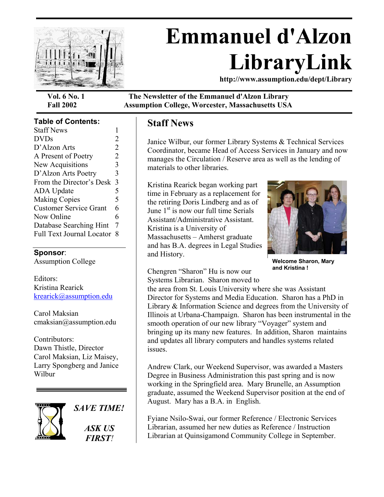

# **Emmanuel d'Alzon LibraryLink**

**http://www.assumption.edu/dept/Library** 

#### **Table of Contents:**

| <b>Staff News</b>                |                |
|----------------------------------|----------------|
| <b>DVDs</b>                      | 2              |
| D'Alzon Arts                     | $\overline{2}$ |
| A Present of Poetry              | 2              |
| New Acquisitions                 | 3              |
| D'Alzon Arts Poetry              | 3              |
| From the Director's Desk         | 3              |
| <b>ADA Update</b>                | 5              |
| <b>Making Copies</b>             | 5              |
| <b>Customer Service Grant</b>    | 6              |
| Now Online                       | 6              |
| Database Searching Hint          | 7              |
| <b>Full Text Journal Locator</b> | 8              |
|                                  |                |

#### **Sponsor**:

Assumption College

Editors: Kristina Rearick [krearick@assumption.edu](mailto:krearick@assumption.edu)

Carol Maksian cmaksian@assumption.edu

Contributors: Dawn Thistle, Director Carol Maksian, Liz Maisey, Larry Spongberg and Janice Wilbur



*SAVE TIME! ASK US FIRST!* 

**Vol. 6 No. 1 The Newsletter of the Emmanuel d'Alzon Library Fall 2002 Assumption College, Worcester, Massachusetts USA** 

#### **Staff News**

Janice Wilbur, our former Library Systems & Technical Services Coordinator, became Head of Access Services in January and now manages the Circulation / Reserve area as well as the lending of materials to other libraries.

Kristina Rearick began working part time in February as a replacement for the retiring Doris Lindberg and as of June  $1<sup>st</sup>$  is now our full time Serials Assistant/Administrative Assistant. Kristina is a University of Massachusetts – Amherst graduate and has B.A. degrees in Legal Studies and History.



**Welcome Sharon, Mary and Kristina !**

Chengren "Sharon" Hu is now our Systems Librarian. Sharon moved to the area from St. Louis University where she was Assistant

Director for Systems and Media Education. Sharon has a PhD in Library & Information Science and degrees from the University of Illinois at Urbana-Champaign. Sharon has been instrumental in the smooth operation of our new library "Voyager" system and bringing up its many new features. In addition, Sharon maintains and updates all library computers and handles systems related issues.

Andrew Clark, our Weekend Supervisor, was awarded a Masters Degree in Business Administration this past spring and is now working in the Springfield area. Mary Brunelle, an Assumption graduate, assumed the Weekend Supervisor position at the end of August. Mary has a B.A. in English.

Fyiane Nsilo-Swai, our former Reference / Electronic Services Librarian, assumed her new duties as Reference / Instruction Librarian at Quinsigamond Community College in September.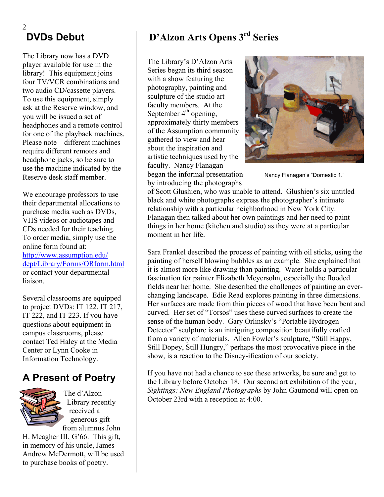#### 2 **DVDs Debut**

The Library now has a DVD player available for use in the library! This equipment joins four TV/VCR combinations and two audio CD/cassette players. To use this equipment, simply ask at the Reserve window, and you will be issued a set of headphones and a remote control for one of the playback machines. Please note—different machines require different remotes and headphone jacks, so be sure to use the machine indicated by the Reserve desk staff member.

We encourage professors to use their departmental allocations to purchase media such as DVDs, VHS videos or audiotapes and CDs needed for their teaching. To order media, simply use the online form found at: [http://www.assumption.edu/](http://www.assumption.edu/ dept/Library/Forms/ORform.html)  [dept/Library/Forms/ORform.html](http://www.assumption.edu/ dept/Library/Forms/ORform.html) or contact your departmental liaison.

Several classrooms are equipped to project DVDs: IT 122, IT 217, IT 222, and IT 223. If you have questions about equipment in campus classrooms, please contact Ted Haley at the Media Center or Lynn Cooke in Information Technology.

## **A Present of Poetry**



The d'Alzon Library recently received a generous gift from alumnus John

H. Meagher III, G'66. This gift, in memory of his uncle, James Andrew McDermott, will be used to purchase books of poetry.

# **D'Alzon Arts Opens 3rd Series**

The Library's D'Alzon Arts Series began its third season with a show featuring the photography, painting and sculpture of the studio art faculty members. At the September  $4<sup>th</sup>$  opening, approximately thirty members of the Assumption community gathered to view and hear about the inspiration and artistic techniques used by the faculty. Nancy Flanagan began the informal presentation

by introducing the photographs



Nancy Flanagan's "Domestic 1."

of Scott Glushien, who was unable to attend. Glushien's six untitled black and white photographs express the photographer's intimate relationship with a particular neighborhood in New York City. Flanagan then talked about her own paintings and her need to paint things in her home (kitchen and studio) as they were at a particular moment in her life.

Sara Frankel described the process of painting with oil sticks, using the painting of herself blowing bubbles as an example. She explained that it is almost more like drawing than painting. Water holds a particular fascination for painter Elizabeth Meyersohn, especially the flooded fields near her home. She described the challenges of painting an everchanging landscape. Edie Read explores painting in three dimensions. Her surfaces are made from thin pieces of wood that have been bent and curved. Her set of "Torsos" uses these curved surfaces to create the sense of the human body. Gary Orlinsky's "Portable Hydrogen Detector" sculpture is an intriguing composition beautifully crafted from a variety of materials. Allen Fowler's sculpture, "Still Happy, Still Dopey, Still Hungry," perhaps the most provocative piece in the show, is a reaction to the Disney-ification of our society.

If you have not had a chance to see these artworks, be sure and get to the Library before October 18. Our second art exhibition of the year, *Sightings: New England Photographs* by John Gaumond will open on October 23rd with a reception at 4:00.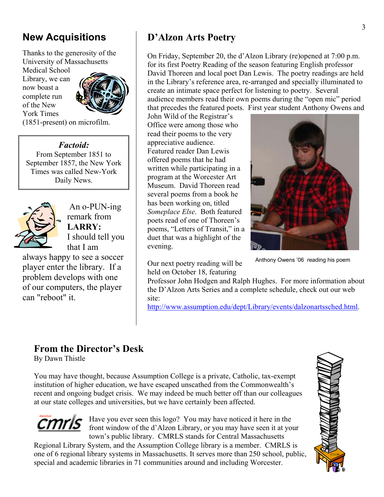# **New Acquisitions**

Thanks to the generosity of the University of Massachusetts

Medical School Library, we can now boast a complete run of the New York Times



(1851-present) on microfilm.

*Factoid:*  From September 1851 to September 1857, the New York Times was called New-York Daily News.



 An o-PUN-ing remark from **LARRY:** I should tell you that I am

always happy to see a soccer player enter the library. If a problem develops with one of our computers, the player can "reboot" it.

# **D'Alzon Arts Poetry**

On Friday, September 20, the d'Alzon Library (re)opened at 7:00 p.m. for its first Poetry Reading of the season featuring English professor David Thoreen and local poet Dan Lewis. The poetry readings are held in the Library's reference area, re-arranged and specially illuminated to create an intimate space perfect for listening to poetry. Several audience members read their own poems during the "open mic" period

that precedes the featured poets. First year student Anthony Owens and John Wild of the Registrar's Office were among those who read their poems to the very appreciative audience. Featured reader Dan Lewis offered poems that he had written while participating in a program at the Worcester Art Museum. David Thoreen read several poems from a book he has been working on, titled *Someplace Else*. Both featured poets read of one of Thoreen's poems, "Letters of Transit," in a duet that was a highlight of the evening.

Our next poetry reading will be held on October 18, featuring



Anthony Owens '06 reading his poem

Professor John Hodgen and Ralph Hughes. For more information about the D'Alzon Arts Series and a complete schedule, check out our web site:

[http://www.assumption.edu/dept/Library/events/dalzonartssched.html.](http://www.assumption.edu/dept/Library/events/dalzonartssched.html)

## **From the Director's Desk**

By Dawn Thistle

You may have thought, because Assumption College is a private, Catholic, tax-exempt institution of higher education, we have escaped unscathed from the Commonwealth's recent and ongoing budget crisis. We may indeed be much better off than our colleagues at our state colleges and universities, but we have certainly been affected.



Regional Library System, and the Assumption College library is a member. CMRLS is one of 6 regional library systems in Massachusetts. It serves more than 250 school, public, special and academic libraries in 71 communities around and including Worcester.

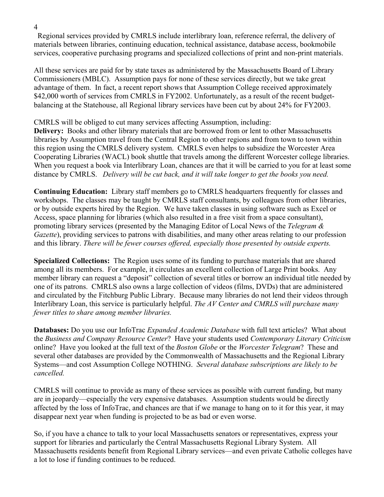Regional services provided by CMRLS include interlibrary loan, reference referral, the delivery of materials between libraries, continuing education, technical assistance, database access, bookmobile services, cooperative purchasing programs and specialized collections of print and non-print materials.

All these services are paid for by state taxes as administered by the Massachusetts Board of Library Commissioners (MBLC). Assumption pays for none of these services directly, but we take great advantage of them. In fact, a recent report shows that Assumption College received approximately \$42,000 worth of services from CMRLS in FY2002. Unfortunately, as a result of the recent budgetbalancing at the Statehouse, all Regional library services have been cut by about 24% for FY2003.

CMRLS will be obliged to cut many services affecting Assumption, including:

**Delivery:** Books and other library materials that are borrowed from or lent to other Massachusetts libraries by Assumption travel from the Central Region to other regions and from town to town within this region using the CMRLS delivery system. CMRLS even helps to subsidize the Worcester Area Cooperating Libraries (WACL) book shuttle that travels among the different Worcester college libraries. When you request a book via Interlibrary Loan, chances are that it will be carried to you for at least some distance by CMRLS. *Delivery will be cut back, and it will take longer to get the books you need.*

**Continuing Education:** Library staff members go to CMRLS headquarters frequently for classes and workshops. The classes may be taught by CMRLS staff consultants, by colleagues from other libraries, or by outside experts hired by the Region. We have taken classes in using software such as Excel or Access, space planning for libraries (which also resulted in a free visit from a space consultant), promoting library services (presented by the Managing Editor of Local News of the *Telegram & Gazette*), providing services to patrons with disabilities, and many other areas relating to our profession and this library. *There will be fewer courses offered, especially those presented by outside experts.* 

**Specialized Collections:** The Region uses some of its funding to purchase materials that are shared among all its members. For example, it circulates an excellent collection of Large Print books. Any member library can request a "deposit" collection of several titles or borrow an individual title needed by one of its patrons. CMRLS also owns a large collection of videos (films, DVDs) that are administered and circulated by the Fitchburg Public Library. Because many libraries do not lend their videos through Interlibrary Loan, this service is particularly helpful. *The AV Center and CMRLS will purchase many fewer titles to share among member libraries.* 

**Databases:** Do you use our InfoTrac *Expanded Academic Database* with full text articles? What about the *Business and Company Resource Center*? Have your students used *Contemporary Literary Criticism* online? Have you looked at the full text of the *Boston Globe* or the *Worcester Telegram*? These and several other databases are provided by the Commonwealth of Massachusetts and the Regional Library Systems—and cost Assumption College NOTHING. *Several database subscriptions are likely to be cancelled.* 

CMRLS will continue to provide as many of these services as possible with current funding, but many are in jeopardy—especially the very expensive databases. Assumption students would be directly affected by the loss of InfoTrac, and chances are that if we manage to hang on to it for this year, it may disappear next year when funding is projected to be as bad or even worse.

So, if you have a chance to talk to your local Massachusetts senators or representatives, express your support for libraries and particularly the Central Massachusetts Regional Library System. All Massachusetts residents benefit from Regional Library services—and even private Catholic colleges have a lot to lose if funding continues to be reduced.

4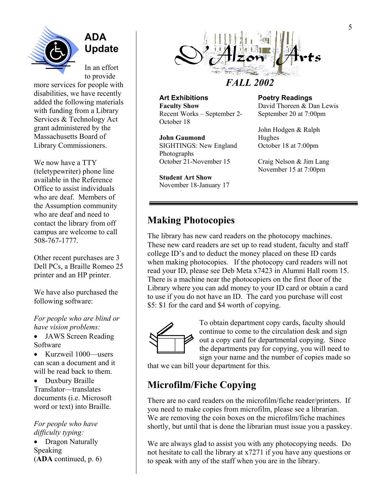

**ADA Update** 

In an effort to provide

more services for people with disabilities, we have recently added the following materials with funding from a Library Services & Technology Act grant administered by the Massachusetts Board of Library Commissioners.

We now have a TTY (teletypewriter) phone line available in the Reference Office to assist individuals who are deaf. Members of the Assumption community who are deaf and need to contact the library from off campus are welcome to call 508-767-1777.

Other recent purchases are 3 Dell PCs, a Braille Romeo 25 printer and an HP printer.

We have also purchased the following software:

*For people who are blind or have vision problems:* 

- JAWS Screen Reading Software
- Kurzweil 1000—users can scan a document and it will be read back to them.
- Duxbury Braille Translator—translates documents (i.e. Microsoft word or text) into Braille.

*For people who have difficulty typing:* 

• Dragon Naturally Speaking (**ADA** continued, p. 6)



# *FALL 2002*

**Art Exhibitions Faculty Show**  Recent Works – September 2- October 18

**John Gaumond**  SIGHTINGS: New England Photographs October 21-November 15

**Student Art Show**  November 18-January 17 **Poetry Readings** 

David Thoreen & Dan Lewis September 20 at 7:00pm

John Hodgen & Ralph Hughes October 18 at 7:00pm

Craig Nelson & Jim Lang November 15 at 7:00pm

## **Making Photocopies**

The library has new card readers on the photocopy machines. These new card readers are set up to read student, faculty and staff college ID's and to deduct the money placed on these ID cards when making photocopies. If the photocopy card readers will not read your ID, please see Deb Meta x7423 in Alumni Hall room 15. There is a machine near the photocopiers on the first floor of the Library where you can add money to your ID card or obtain a card to use if you do not have an ID. The card you purchase will cost \$5: \$1 for the card and \$4 worth of copying.



To obtain department copy cards, faculty should continue to come to the circulation desk and sign out a copy card for departmental copying. Since the departments pay for copying, you will need to sign your name and the number of copies made so

that we can bill your department for this.

## **Microfilm/Fiche Copying**

There are no card readers on the microfilm/fiche reader/printers. If you need to make copies from microfilm, please see a librarian. We are removing the coin boxes on the microfilm/fiche machines shortly, but until that is done the librarian must issue you a passkey.

We are always glad to assist you with any photocopying needs. Do not hesitate to call the library at x7271 if you have any questions or to speak with any of the staff when you are in the library.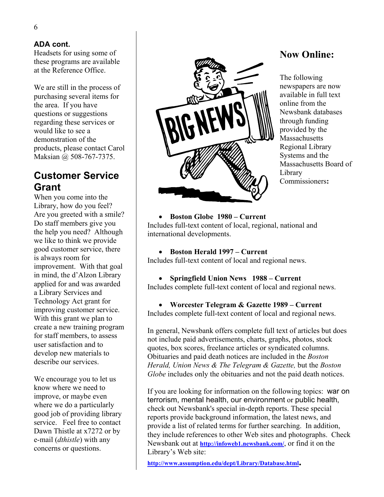Headsets for using some of these programs are available at the Reference Office.

We are still in the process of purchasing several items for the area. If you have questions or suggestions regarding these services or would like to see a demonstration of the products, please contact Carol Maksian @ 508-767-7375.

## **Customer Service Grant**

When you come into the Library, how do you feel? Are you greeted with a smile? Do staff members give you the help you need? Although we like to think we provide good customer service, there is always room for improvement. With that goal in mind, the d'Alzon Library applied for and was awarded a Library Services and Technology Act grant for improving customer service. With this grant we plan to create a new training program for staff members, to assess user satisfaction and to develop new materials to describe our services.

We encourage you to let us know where we need to improve, or maybe even where we do a particularly good job of providing library service. Feel free to contact Dawn Thistle at x7272 or by e-mail (*dthistle*) with any concerns or questions.



#### **Now Online:**

The following newspapers are now available in full text online from the Newsbank databases through funding provided by the Massachusetts Regional Library Systems and the Massachusetts Board of Library Commissioners**:** 

#### • **Boston Globe 1980 – Current**

Includes full-text content of local, regional, national and international developments.

• **Boston Herald 1997 – Current**  Includes full-text content of local and regional news.

#### • **Springfield Union News 1988 – Current**

Includes complete full-text content of local and regional news.

# • **Worcester Telegram & Gazette 1989 – Current**

Includes complete full-text content of local and regional news.

In general, Newsbank offers complete full text of articles but does not include paid advertisements, charts, graphs, photos, stock quotes, box scores, freelance articles or syndicated columns. Obituaries and paid death notices are included in the *Boston Herald, Union News & The Telegram & Gazette,* but the *Boston Globe* includes only the obituaries and not the paid death notices.

If you are looking for information on the following topics: war on terrorism, mental health, our environment or public health, check out Newsbank's special in-depth reports. These special reports provide background information, the latest news, and provide a list of related terms for further searching. In addition, they include references to other Web sites and photographs. Check Newsbank out at **<http://infoweb1.newsbank.com/>**, or find it on the Library's Web site:

**[http://www.assumption.edu/dept/Library/Database.html.](http://www.assumption.edu/dept/Library/Database.html)**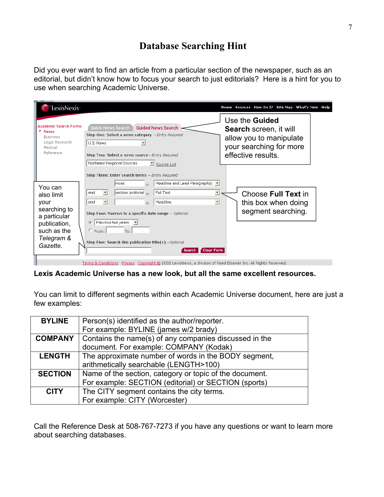#### **Database Searching Hint**

Did you ever want to find an article from a particular section of the newspaper, such as an editorial, but didn't know how to focus your search to just editorials? Here is a hint for you to use when searching Academic Universe.

| LexisNexis <sup>-</sup>                                                                                                |                                                                                                                                                                                                                                                                                                                                                                                                                                                          | Sources How Do I? Site Map What's New Help<br>Home                                                                                 |
|------------------------------------------------------------------------------------------------------------------------|----------------------------------------------------------------------------------------------------------------------------------------------------------------------------------------------------------------------------------------------------------------------------------------------------------------------------------------------------------------------------------------------------------------------------------------------------------|------------------------------------------------------------------------------------------------------------------------------------|
| <b>Academic Search Forms</b><br><b>News</b><br><b>Business</b><br>Legal Research<br>Medical<br>Reference               | <b>Guided News Search</b><br>Quick News Search<br>Step One: Select a news category -- Entry Required<br>U.S. News<br>$\overline{\phantom{a}}$<br>Step Two: Select a news source-- Entry Required<br>Northeast Regional Sources<br>Source List                                                                                                                                                                                                            | Use the <b>Guided</b><br><b>Search screen, it will</b><br>allow you to manipulate<br>your searching for more<br>effective results. |
| You can<br>also limit<br>your<br>searching to<br>a particular<br>publication,<br>such as the<br>Telegram &<br>Gazette. | Step Three: Enter search terms -- Entry Required<br>Headline and Lead Paragraph(s) v<br>mcas<br>in<br>$\overline{\phantom{a}}$<br>圖<br>section (editorial in<br>Full Text<br>' and<br>ॼ<br>$\vert \cdot \vert$<br>Headline<br>and<br>in<br>Step Four: Narrow to a specific date range -- Optional<br>Previous two years $\mathbf{v}$<br>G.<br>$C$ From:<br>To:<br>Step Five: Search this publication title(s) -- Optional<br><b>Clear Form</b><br>Search | Choose Full Text in<br>this box when doing<br>segment searching.                                                                   |

#### **Lexis Academic Universe has a new look, but all the same excellent resources.**

You can limit to different segments within each Academic Universe document, here are just a few examples:

| <b>BYLINE</b>  | Person(s) identified as the author/reporter.            |  |
|----------------|---------------------------------------------------------|--|
|                | For example: BYLINE (james w/2 brady)                   |  |
| <b>COMPANY</b> | Contains the name(s) of any companies discussed in the  |  |
|                | document. For example: COMPANY (Kodak)                  |  |
| <b>LENGTH</b>  | The approximate number of words in the BODY segment,    |  |
|                | arithmetically searchable (LENGTH>100)                  |  |
| <b>SECTION</b> | Name of the section, category or topic of the document. |  |
|                | For example: SECTION (editorial) or SECTION (sports)    |  |
| <b>CITY</b>    | The CITY segment contains the city terms.               |  |
|                | For example: CITY (Worcester)                           |  |

Call the Reference Desk at 508-767-7273 if you have any questions or want to learn more about searching databases.